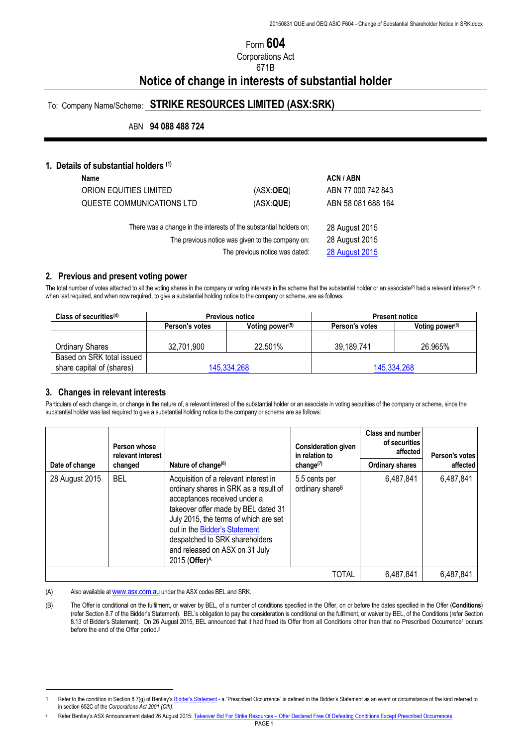## Form **604**

Corporations Act

### 671B

# **Notice of change in interests of substantial holder**

### To: Company Name/Scheme: **STRIKE RESOURCES LIMITED (ASX:SRK)**

ABN **94 088 488 724**

#### **1. Details of substantial holders (1)**

| Name                                                               |                                | <b>ACN/ABN</b>        |
|--------------------------------------------------------------------|--------------------------------|-----------------------|
| ORION EQUITIES LIMITED                                             | (ASK:OEQ)                      | ABN 77 000 742 843    |
| QUESTE COMMUNICATIONS LTD                                          | (ASX:QUE)                      | ABN 58 081 688 164    |
| There was a change in the interests of the substantial holders on: |                                | 28 August 2015        |
| The previous notice was given to the company on:                   | 28 August 2015                 |                       |
|                                                                    | The previous notice was dated: | <b>28 August 2015</b> |
|                                                                    |                                |                       |

#### **2. Previous and present voting power**

The total number of votes attached to all the voting shares in the company or voting interests in the scheme that the substantial holder or an associate<sup>(2)</sup> had a relevant interest(3) in when last required, and when now required, to give a substantial holding notice to the company or scheme, are as follows:

| Class of securities $(4)$ | <b>Previous notice</b> |                             | <b>Present notice</b> |                    |
|---------------------------|------------------------|-----------------------------|-----------------------|--------------------|
|                           | Person's votes         | Voting power <sup>(5)</sup> | Person's votes        | Voting power $(5)$ |
|                           |                        |                             |                       |                    |
| <b>Ordinary Shares</b>    | 32.701.900             | 22.501%                     | 39.189.741            | 26.965%            |
| Based on SRK total issued |                        |                             |                       |                    |
| share capital of (shares) | 145,334,268            |                             | 145,334,268           |                    |

#### **3. Changes in relevant interests**

 $\overline{a}$ 

Particulars of each change in, or change in the nature of, a relevant interest of the substantial holder or an associate in voting securities of the company or scheme, since the substantial holder was last required to give a substantial holding notice to the company or scheme are as follows:

|                | Person whose<br>relevant interest |                                                                                                                                                                                                                                                                                                                                  | <b>Consideration given</b><br>in relation to | <b>Class and number</b><br>of securities<br>affected | Person's votes |
|----------------|-----------------------------------|----------------------------------------------------------------------------------------------------------------------------------------------------------------------------------------------------------------------------------------------------------------------------------------------------------------------------------|----------------------------------------------|------------------------------------------------------|----------------|
| Date of change | changed                           | Nature of change <sup>(6)</sup>                                                                                                                                                                                                                                                                                                  | change $(7)$                                 | <b>Ordinary shares</b>                               | affected       |
| 28 August 2015 | <b>BEL</b>                        | Acquisition of a relevant interest in<br>ordinary shares in SRK as a result of<br>acceptances received under a<br>takeover offer made by BEL dated 31<br>July 2015, the terms of which are set<br>out in the Bidder's Statement<br>despatched to SRK shareholders<br>and released on ASX on 31 July<br>2015 (Offer) <sup>A</sup> | 5.5 cents per<br>ordinary share <sup>B</sup> | 6,487,841                                            | 6,487,841      |
|                |                                   |                                                                                                                                                                                                                                                                                                                                  | TOTAL                                        | 6,487,841                                            | 6,487,841      |

(A) Also available at www.asx.com.au under the ASX codes BEL and SRK.

(B) The Offer is conditional on the fulfilment, or waiver by BEL, of a number of conditions specified in the Offer, on or before the dates specified in the Offer (**Conditions**) (refer Section 8.7 of the Bidder's Statement). BEL's obligation to pay the consideration is conditional on the fulfilment, or waiver by BEL, of the Conditions (refer Section 8.13 of Bidder's Statement). On 26 August 2015, BEL announced that it had freed its Offer from all Conditions other than that no Prescribed Occurrence<sup>1</sup> occurs before the end of the Offer period.<sup>2</sup>

Refer to the condition in Section 8.7(g) of Bentley's Bidder's Statement - a "Prescribed Occurrence" is defined in the Bidder's Statement as an event or circumstance of the kind referred to in section 652C of the *Corporations Act 2001 (Cth)*.

Refer Bentley's ASX Announcement dated 26 August 2015: Takeover Bid For Strike Resources - Offer Declared Free Of Defeating Conditions Except Prescribed Occurrences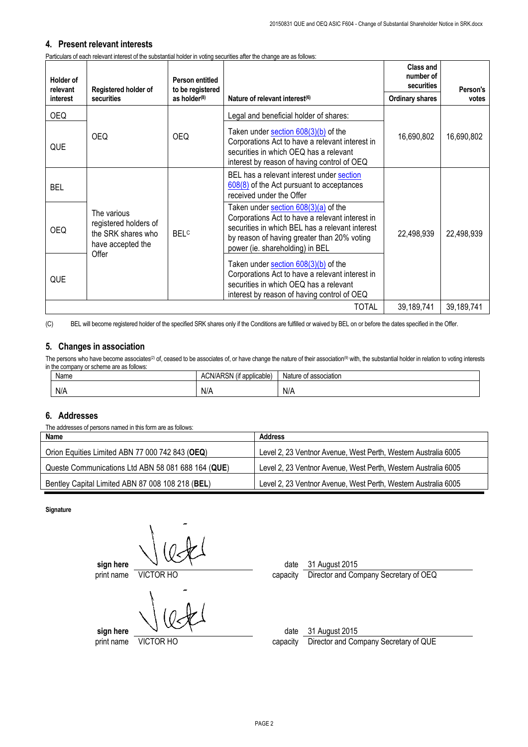### **4. Present relevant interests**

Particulars of each relevant interest of the substantial holder in voting securities after the change are as follows:

| Holder of<br>relevant | Registered holder of                                                                     | Person entitled<br>to be registered |                                                                                                                                                                                                                              | Class and<br>number of<br>securities | Person's   |
|-----------------------|------------------------------------------------------------------------------------------|-------------------------------------|------------------------------------------------------------------------------------------------------------------------------------------------------------------------------------------------------------------------------|--------------------------------------|------------|
| <i>interest</i>       | securities                                                                               | as holder $(8)$                     | Nature of relevant interest <sup>(6)</sup>                                                                                                                                                                                   | <b>Ordinary shares</b>               | votes      |
| <b>OEQ</b>            |                                                                                          |                                     | Legal and beneficial holder of shares:                                                                                                                                                                                       |                                      |            |
| QUE                   | <b>OEQ</b>                                                                               | <b>OEQ</b>                          | Taken under section $608(3)(b)$ of the<br>Corporations Act to have a relevant interest in<br>securities in which OEQ has a relevant<br>interest by reason of having control of OEQ                                           | 16,690,802                           | 16,690,802 |
| <b>BEL</b>            |                                                                                          |                                     | BEL has a relevant interest under section<br>608(8) of the Act pursuant to acceptances<br>received under the Offer                                                                                                           |                                      |            |
| OEQ.                  | The various<br>registered holders of<br>the SRK shares who<br>have accepted the<br>Offer | <b>BELC</b>                         | Taken under section 608(3)(a) of the<br>Corporations Act to have a relevant interest in<br>securities in which BEL has a relevant interest<br>by reason of having greater than 20% voting<br>power (ie. shareholding) in BEL | 22,498,939                           | 22,498,939 |
| QUE                   |                                                                                          |                                     | Taken under section $608(3)(b)$ of the<br>Corporations Act to have a relevant interest in<br>securities in which OEQ has a relevant<br>interest by reason of having control of OEQ                                           |                                      |            |
|                       | <b>TOTAL</b><br>39,189,741                                                               |                                     |                                                                                                                                                                                                                              | 39,189,741                           |            |

(C) BEL will become registered holder of the specified SRK shares only if the Conditions are fulfilled or waived by BEL on or before the dates specified in the Offer.

### **5. Changes in association**

The persons who have become associates<sup>(2)</sup> of, ceased to be associates of, or have change the nature of their association<sup>(9)</sup> with, the substantial holder in relation to voting interests in the company or scheme are as follows:

| Name | $\cdots$<br>ADOM<br>ACN/AP <sup>-</sup><br>t applicable<br>. ∖ວ™ 1 | Nature of association |
|------|--------------------------------------------------------------------|-----------------------|
| N/A  | N/A                                                                | N/A                   |

### **6. Addresses**

The addresses of persons named in this form are as follows:

| Name                                               | Address                                                        |
|----------------------------------------------------|----------------------------------------------------------------|
| Orion Equities Limited ABN 77 000 742 843 (OEQ)    | Level 2, 23 Ventnor Avenue, West Perth, Western Australia 6005 |
| Queste Communications Ltd ABN 58 081 688 164 (QUE) | Level 2, 23 Ventnor Avenue, West Perth, Western Australia 6005 |
| Bentley Capital Limited ABN 87 008 108 218 (BEL)   | Level 2, 23 Ventnor Avenue, West Perth, Western Australia 6005 |

**Signature**

**sign here**  $\sqrt{ }$ print name VICTOR HO capacity Director and Company Secretary of OEQ

**sign here**  $\sqrt{2}$ 

print name VICTOR HO capacity Director and Company Secretary of QUE